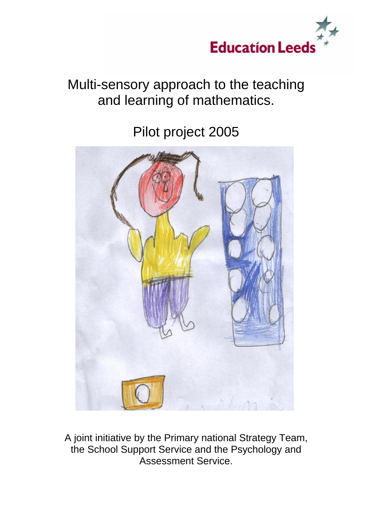

# Multi-sensory approach to the teaching and learning of mathematics.

Pilot project 2005



A joint initiative by the Primary national Strategy Team, the School Support Service and the Psychology and Assessment Service.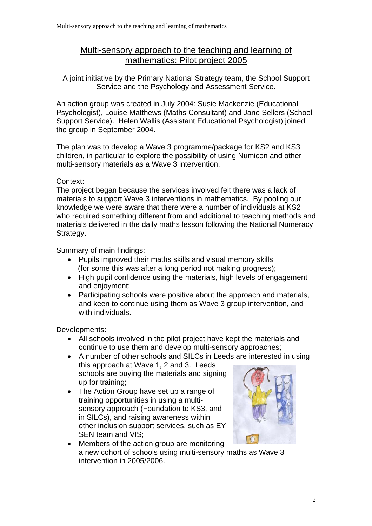# Multi-sensory approach to the teaching and learning of mathematics: Pilot project 2005

A joint initiative by the Primary National Strategy team, the School Support Service and the Psychology and Assessment Service.

An action group was created in July 2004: Susie Mackenzie (Educational Psychologist), Louise Matthews (Maths Consultant) and Jane Sellers (School Support Service). Helen Wallis (Assistant Educational Psychologist) joined the group in September 2004.

The plan was to develop a Wave 3 programme/package for KS2 and KS3 children, in particular to explore the possibility of using Numicon and other multi-sensory materials as a Wave 3 intervention.

#### Context:

The project began because the services involved felt there was a lack of materials to support Wave 3 interventions in mathematics. By pooling our knowledge we were aware that there were a number of individuals at KS2 who required something different from and additional to teaching methods and materials delivered in the daily maths lesson following the National Numeracy Strategy.

Summary of main findings:

- Pupils improved their maths skills and visual memory skills (for some this was after a long period not making progress);
- High pupil confidence using the materials, high levels of engagement and enjoyment;
- Participating schools were positive about the approach and materials, and keen to continue using them as Wave 3 group intervention, and with individuals.

Developments:

- All schools involved in the pilot project have kept the materials and continue to use them and develop multi-sensory approaches;
- A number of other schools and SILCs in Leeds are interested in using this approach at Wave 1, 2 and 3. Leeds schools are buying the materials and signing up for training;
- The Action Group have set up a range of training opportunities in using a multisensory approach (Foundation to KS3, and in SILCs), and raising awareness within other inclusion support services, such as EY SEN team and VIS;



Members of the action group are monitoring a new cohort of schools using multi-sensory maths as Wave 3 intervention in 2005/2006.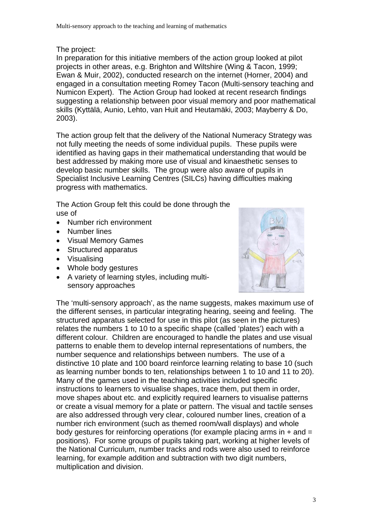## The project:

In preparation for this initiative members of the action group looked at pilot projects in other areas, e.g. Brighton and Wiltshire (Wing & Tacon, 1999; Ewan & Muir, 2002), conducted research on the internet (Horner, 2004) and engaged in a consultation meeting Romey Tacon (Multi-sensory teaching and Numicon Expert). The Action Group had looked at recent research findings suggesting a relationship between poor visual memory and poor mathematical skills (Kyttälä, Aunio, Lehto, van Huit and Heutamäki, 2003; Mayberry & Do, 2003).

The action group felt that the delivery of the National Numeracy Strategy was not fully meeting the needs of some individual pupils. These pupils were identified as having gaps in their mathematical understanding that would be best addressed by making more use of visual and kinaesthetic senses to develop basic number skills. The group were also aware of pupils in Specialist Inclusive Learning Centres (SILCs) having difficulties making progress with mathematics.

The Action Group felt this could be done through the use of

- Number rich environment
- Number lines
- Visual Memory Games
- Structured apparatus
- Visualising
- Whole body gestures
- A variety of learning styles, including multisensory approaches



The 'multi-sensory approach', as the name suggests, makes maximum use of the different senses, in particular integrating hearing, seeing and feeling. The structured apparatus selected for use in this pilot (as seen in the pictures) relates the numbers 1 to 10 to a specific shape (called 'plates') each with a different colour. Children are encouraged to handle the plates and use visual patterns to enable them to develop internal representations of numbers, the number sequence and relationships between numbers. The use of a distinctive 10 plate and 100 board reinforce learning relating to base 10 (such as learning number bonds to ten, relationships between 1 to 10 and 11 to 20). Many of the games used in the teaching activities included specific instructions to learners to visualise shapes, trace them, put them in order, move shapes about etc. and explicitly required learners to visualise patterns or create a visual memory for a plate or pattern. The visual and tactile senses are also addressed through very clear, coloured number lines, creation of a number rich environment (such as themed room/wall displays) and whole body gestures for reinforcing operations (for example placing arms in  $+$  and  $=$ positions). For some groups of pupils taking part, working at higher levels of the National Curriculum, number tracks and rods were also used to reinforce learning, for example addition and subtraction with two digit numbers, multiplication and division.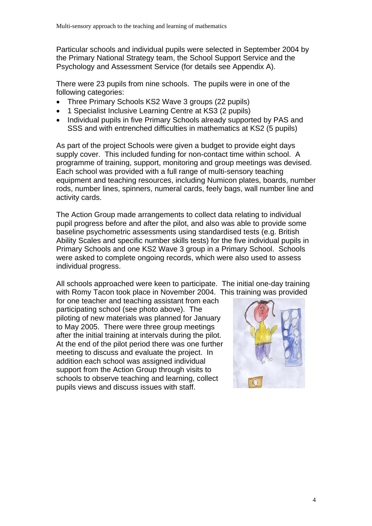Particular schools and individual pupils were selected in September 2004 by the Primary National Strategy team, the School Support Service and the Psychology and Assessment Service (for details see Appendix A).

There were 23 pupils from nine schools. The pupils were in one of the following categories:

- Three Primary Schools KS2 Wave 3 groups (22 pupils)
- 1 Specialist Inclusive Learning Centre at KS3 (2 pupils)
- Individual pupils in five Primary Schools already supported by PAS and SSS and with entrenched difficulties in mathematics at KS2 (5 pupils)

As part of the project Schools were given a budget to provide eight days supply cover. This included funding for non-contact time within school. A programme of training, support, monitoring and group meetings was devised. Each school was provided with a full range of multi-sensory teaching equipment and teaching resources, including Numicon plates, boards, number rods, number lines, spinners, numeral cards, feely bags, wall number line and activity cards.

The Action Group made arrangements to collect data relating to individual pupil progress before and after the pilot, and also was able to provide some baseline psychometric assessments using standardised tests (e.g. British Ability Scales and specific number skills tests) for the five individual pupils in Primary Schools and one KS2 Wave 3 group in a Primary School. Schools were asked to complete ongoing records, which were also used to assess individual progress.

All schools approached were keen to participate. The initial one-day training with Romy Tacon took place in November 2004. This training was provided

for one teacher and teaching assistant from each participating school (see photo above). The piloting of new materials was planned for January to May 2005. There were three group meetings after the initial training at intervals during the pilot. At the end of the pilot period there was one further meeting to discuss and evaluate the project. In addition each school was assigned individual support from the Action Group through visits to schools to observe teaching and learning, collect pupils views and discuss issues with staff.

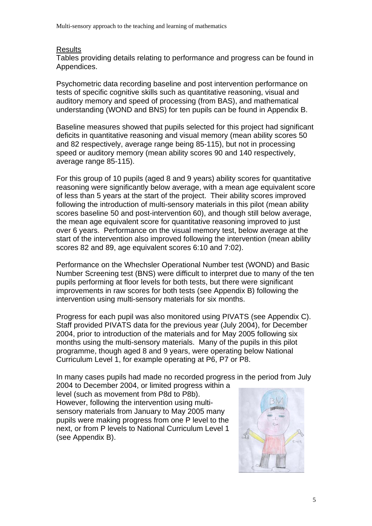#### **Results**

Tables providing details relating to performance and progress can be found in Appendices.

Psychometric data recording baseline and post intervention performance on tests of specific cognitive skills such as quantitative reasoning, visual and auditory memory and speed of processing (from BAS), and mathematical understanding (WOND and BNS) for ten pupils can be found in Appendix B.

Baseline measures showed that pupils selected for this project had significant deficits in quantitative reasoning and visual memory (mean ability scores 50 and 82 respectively, average range being 85-115), but not in processing speed or auditory memory (mean ability scores 90 and 140 respectively, average range 85-115).

For this group of 10 pupils (aged 8 and 9 years) ability scores for quantitative reasoning were significantly below average, with a mean age equivalent score of less than 5 years at the start of the project. Their ability scores improved following the introduction of multi-sensory materials in this pilot (mean ability scores baseline 50 and post-intervention 60), and though still below average, the mean age equivalent score for quantitative reasoning improved to just over 6 years. Performance on the visual memory test, below average at the start of the intervention also improved following the intervention (mean ability scores 82 and 89, age equivalent scores 6:10 and 7:02).

Performance on the Whechsler Operational Number test (WOND) and Basic Number Screening test (BNS) were difficult to interpret due to many of the ten pupils performing at floor levels for both tests, but there were significant improvements in raw scores for both tests (see Appendix B) following the intervention using multi-sensory materials for six months.

Progress for each pupil was also monitored using PIVATS (see Appendix C). Staff provided PIVATS data for the previous year (July 2004), for December 2004, prior to introduction of the materials and for May 2005 following six months using the multi-sensory materials. Many of the pupils in this pilot programme, though aged 8 and 9 years, were operating below National Curriculum Level 1, for example operating at P6, P7 or P8.

In many cases pupils had made no recorded progress in the period from July

2004 to December 2004, or limited progress within a level (such as movement from P8d to P8b). However, following the intervention using multisensory materials from January to May 2005 many pupils were making progress from one P level to the next, or from P levels to National Curriculum Level 1 (see Appendix B).

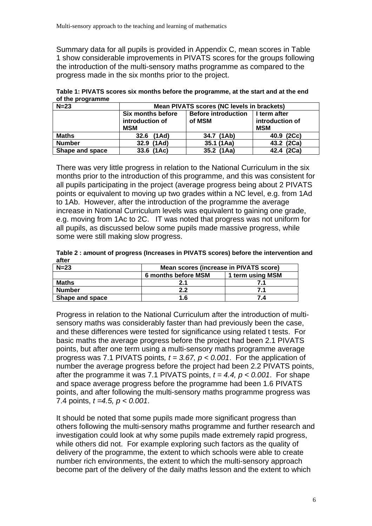Summary data for all pupils is provided in Appendix C, mean scores in Table 1 show considerable improvements in PIVATS scores for the groups following the introduction of the multi-sensory maths programme as compared to the progress made in the six months prior to the project.

| $\sim$ programme |                                                    |                                      |                                               |  |  |  |  |  |
|------------------|----------------------------------------------------|--------------------------------------|-----------------------------------------------|--|--|--|--|--|
| $N=23$           | Mean PIVATS scores (NC levels in brackets)         |                                      |                                               |  |  |  |  |  |
|                  | Six months before<br>introduction of<br><b>MSM</b> | <b>Before introduction</b><br>of MSM | I term after<br>introduction of<br><b>MSM</b> |  |  |  |  |  |
| <b>Maths</b>     | (1Ad)<br>32.6                                      | 34.7 (1Ab)                           | 40.9 (2Cc)                                    |  |  |  |  |  |
| <b>Number</b>    | 32.9 (1Ad)                                         | 35.1 (1Aa)                           | 43.2 (2Ca)                                    |  |  |  |  |  |
| Shape and space  | 33.6 (1Ac)                                         | 35.2 (1Aa)                           | 42.4 (2Ca)                                    |  |  |  |  |  |

**Table 1: PIVATS scores six months before the programme, at the start and at the end of the programme** 

There was very little progress in relation to the National Curriculum in the six months prior to the introduction of this programme, and this was consistent for all pupils participating in the project (average progress being about 2 PIVATS points or equivalent to moving up two grades within a NC level, e.g. from 1Ad to 1Ab. However, after the introduction of the programme the average increase in National Curriculum levels was equivalent to gaining one grade, e.g. moving from 1Ac to 2C. IT was noted that progress was not uniform for all pupils, as discussed below some pupils made massive progress, while some were still making slow progress.

**Table 2 : amount of progress (Increases in PIVATS scores) before the intervention and after**

| $N=23$          | Mean scores (increase in PIVATS score) |                  |  |  |  |  |
|-----------------|----------------------------------------|------------------|--|--|--|--|
|                 | 6 months before MSM                    | 1 term using MSM |  |  |  |  |
| Maths           | 2.1                                    |                  |  |  |  |  |
| <b>Number</b>   | 2.2                                    | 71               |  |  |  |  |
| Shape and space | 1.6                                    | 7.4              |  |  |  |  |

Progress in relation to the National Curriculum after the introduction of multisensory maths was considerably faster than had previously been the case, and these differences were tested for significance using related t tests. For basic maths the average progress before the project had been 2.1 PIVATS points, but after one term using a multi-sensory maths programme average progress was 7.1 PIVATS points*, t = 3.67, p < 0.001*. For the application of number the average progress before the project had been 2.2 PIVATS points, after the programme it was 7.1 PIVATS points,  $t = 4.4$ ,  $p < 0.001$ . For shape and space average progress before the programme had been 1.6 PIVATS points, and after following the multi-sensory maths programme progress was 7.4 points, *t =4.5, p < 0.001*.

It should be noted that some pupils made more significant progress than others following the multi-sensory maths programme and further research and investigation could look at why some pupils made extremely rapid progress, while others did not. For example exploring such factors as the quality of delivery of the programme, the extent to which schools were able to create number rich environments, the extent to which the multi-sensory approach become part of the delivery of the daily maths lesson and the extent to which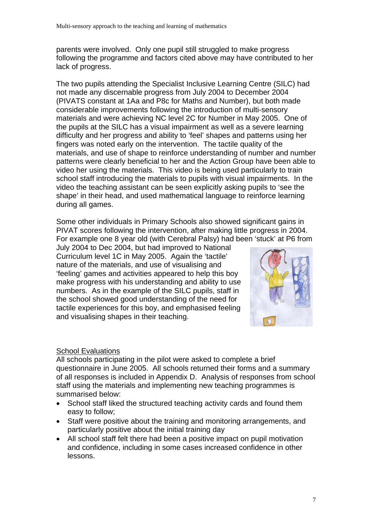parents were involved. Only one pupil still struggled to make progress following the programme and factors cited above may have contributed to her lack of progress.

The two pupils attending the Specialist Inclusive Learning Centre (SILC) had not made any discernable progress from July 2004 to December 2004 (PIVATS constant at 1Aa and P8c for Maths and Number), but both made considerable improvements following the introduction of multi-sensory materials and were achieving NC level 2C for Number in May 2005. One of the pupils at the SILC has a visual impairment as well as a severe learning difficulty and her progress and ability to 'feel' shapes and patterns using her fingers was noted early on the intervention. The tactile quality of the materials, and use of shape to reinforce understanding of number and number patterns were clearly beneficial to her and the Action Group have been able to video her using the materials. This video is being used particularly to train school staff introducing the materials to pupils with visual impairments. In the video the teaching assistant can be seen explicitly asking pupils to 'see the shape' in their head, and used mathematical language to reinforce learning during all games.

Some other individuals in Primary Schools also showed significant gains in PIVAT scores following the intervention, after making little progress in 2004. For example one 8 year old (with Cerebral Palsy) had been 'stuck' at P6 from

July 2004 to Dec 2004, but had improved to National Curriculum level 1C in May 2005. Again the 'tactile' nature of the materials, and use of visualising and 'feeling' games and activities appeared to help this boy make progress with his understanding and ability to use numbers. As in the example of the SILC pupils, staff in the school showed good understanding of the need for tactile experiences for this boy, and emphasised feeling and visualising shapes in their teaching.



#### School Evaluations

All schools participating in the pilot were asked to complete a brief questionnaire in June 2005. All schools returned their forms and a summary of all responses is included in Appendix D. Analysis of responses from school staff using the materials and implementing new teaching programmes is summarised below:

- School staff liked the structured teaching activity cards and found them easy to follow;
- Staff were positive about the training and monitoring arrangements, and particularly positive about the initial training day
- All school staff felt there had been a positive impact on pupil motivation and confidence, including in some cases increased confidence in other lessons.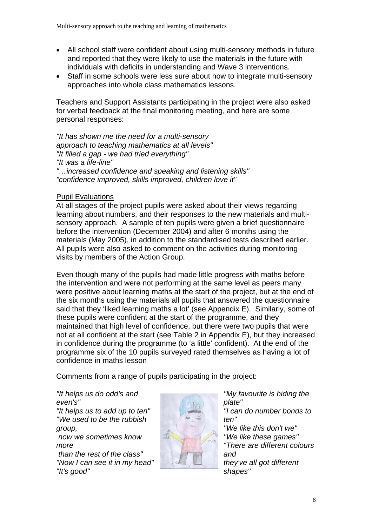- All school staff were confident about using multi-sensory methods in future and reported that they were likely to use the materials in the future with individuals with deficits in understanding and Wave 3 interventions.
- Staff in some schools were less sure about how to integrate multi-sensory approaches into whole class mathematics lessons.

Teachers and Support Assistants participating in the project were also asked for verbal feedback at the final monitoring meeting, and here are some personal responses:

*"It has shown me the need for a multi-sensory approach to teaching mathematics at all levels" "It filled a gap - we had tried everything" "It was a life-line" "…increased confidence and speaking and listening skills" "confidence improved, skills improved, children love it"*

#### Pupil Evaluations

At all stages of the project pupils were asked about their views regarding learning about numbers, and their responses to the new materials and multisensory approach. A sample of ten pupils were given a brief questionnaire before the intervention (December 2004) and after 6 months using the materials (May 2005), in addition to the standardised tests described earlier. All pupils were also asked to comment on the activities during monitoring visits by members of the Action Group.

Even though many of the pupils had made little progress with maths before the intervention and were not performing at the same level as peers many were positive about learning maths at the start of the project, but at the end of the six months using the materials all pupils that answered the questionnaire said that they 'liked learning maths a lot' (see Appendix E). Similarly, some of these pupils were confident at the start of the programme, and they maintained that high level of confidence, but there were two pupils that were not at all confident at the start (see Table 2 in Appendix E), but they increased in confidence during the programme (to 'a little' confident). At the end of the programme six of the 10 pupils surveyed rated themselves as having a lot of confidence in maths lesson

Comments from a range of pupils participating in the project:

*"It helps us do odd's and even's" "It helps us to add up to ten" "We used to be the rubbish group, now we sometimes know more than the rest of the class" "Now I can see it in my head" "It's good"* 



*"My favourite is hiding the plate" "I can do number bonds to ten" "We like this don't we" "We like these games" "There are different colours and they've all got different shapes"*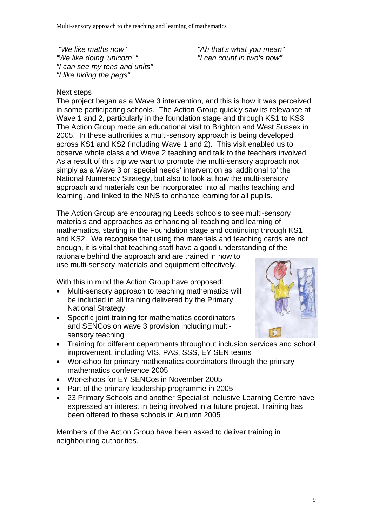*"We like maths now" "We like doing 'unicorn' " "I can see my tens and units" "I like hiding the pegs"* 

*"Ah that's what you mean" "I can count in two's now"*

# Next steps

The project began as a Wave 3 intervention, and this is how it was perceived in some participating schools. The Action Group quickly saw its relevance at Wave 1 and 2, particularly in the foundation stage and through KS1 to KS3. The Action Group made an educational visit to Brighton and West Sussex in 2005. In these authorities a multi-sensory approach is being developed across KS1 and KS2 (including Wave 1 and 2). This visit enabled us to observe whole class and Wave 2 teaching and talk to the teachers involved. As a result of this trip we want to promote the multi-sensory approach not simply as a Wave 3 or 'special needs' intervention as 'additional to' the National Numeracy Strategy, but also to look at how the multi-sensory approach and materials can be incorporated into all maths teaching and learning, and linked to the NNS to enhance learning for all pupils.

The Action Group are encouraging Leeds schools to see multi-sensory materials and approaches as enhancing all teaching and learning of mathematics, starting in the Foundation stage and continuing through KS1 and KS2. We recognise that using the materials and teaching cards are not enough, it is vital that teaching staff have a good understanding of the rationale behind the approach and are trained in how to

use multi-sensory materials and equipment effectively.

With this in mind the Action Group have proposed:

- Multi-sensory approach to teaching mathematics will be included in all training delivered by the Primary National Strategy
- Specific joint training for mathematics coordinators and SENCos on wave 3 provision including multisensory teaching



- Training for different departments throughout inclusion services and school improvement, including VIS, PAS, SSS, EY SEN teams
- Workshop for primary mathematics coordinators through the primary mathematics conference 2005
- Workshops for EY SENCos in November 2005
- Part of the primary leadership programme in 2005
- 23 Primary Schools and another Specialist Inclusive Learning Centre have expressed an interest in being involved in a future project. Training has been offered to these schools in Autumn 2005

Members of the Action Group have been asked to deliver training in neighbouring authorities.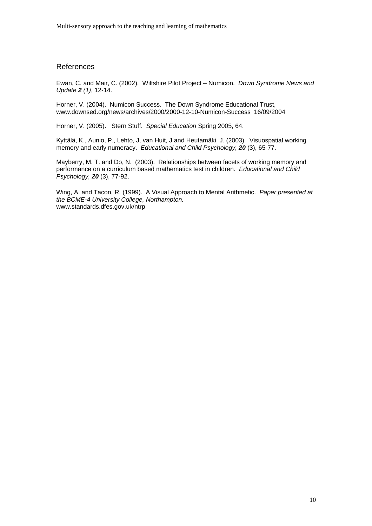#### References

Ewan, C. and Mair, C. (2002). Wiltshire Pilot Project – Numicon. *Down Syndrome News and Update 2 (1)*, 12-14.

Horner, V. (2004). Numicon Success. The Down Syndrome Educational Trust, [www.downsed.org/news/archives/2000/2000-12-10-Numicon-Success](http://www.downsed.org/news/archives/2000/2000-12-10-Numicon-Success) 16/09/2004

Horner, V. (2005). Stern Stuff. *Special Education* Spring 2005, 64.

Kyttälä, K., Aunio, P., Lehto, J, van Huit, J and Heutamäki, J. (2003). Visuospatial working memory and early numeracy. *Educational and Child Psychology, 20* (3), 65-77.

Mayberry, M. T. and Do, N. (2003). Relationships between facets of working memory and performance on a curriculum based mathematics test in children. *Educational and Child Psychology, 20* (3), 77-92.

Wing, A. and Tacon, R. (1999). A Visual Approach to Mental Arithmetic. *Paper presented at the BCME-4 University College, Northampton.*  www.standards.dfes.gov.uk/ntrp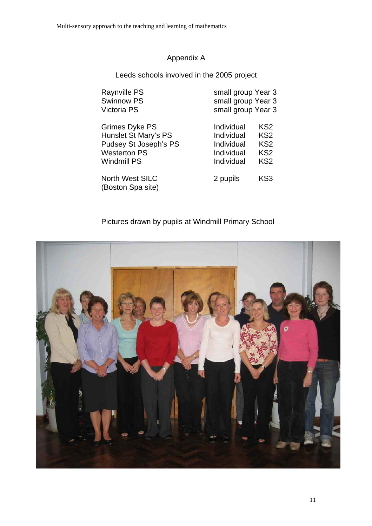# Appendix A

Leeds schools involved in the 2005 project

| <b>Raynville PS</b>    | small group Year 3 |                 |
|------------------------|--------------------|-----------------|
| <b>Swinnow PS</b>      | small group Year 3 |                 |
| Victoria PS            | small group Year 3 |                 |
| <b>Grimes Dyke PS</b>  | Individual         | KS <sub>2</sub> |
| Hunslet St Mary's PS   | Individual         | KS <sub>2</sub> |
| Pudsey St Joseph's PS  | Individual         | KS <sub>2</sub> |
| <b>Westerton PS</b>    | Individual         | KS <sub>2</sub> |
| <b>Windmill PS</b>     | Individual         | KS <sub>2</sub> |
| <b>North West SILC</b> | 2 pupils           | KS3             |
| (Boston Spa site)      |                    |                 |

# Pictures drawn by pupils at Windmill Primary School

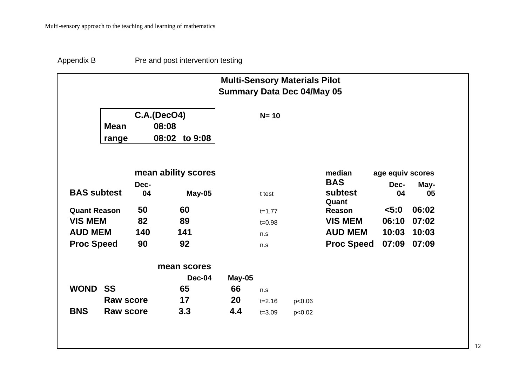Appendix B Pre and post intervention testing

|                     |                      |            |                                                 | <b>Multi-Sensory Materials Pilot</b><br><b>Summary Data Dec 04/May 05</b> |            |        |                                |                  |            |
|---------------------|----------------------|------------|-------------------------------------------------|---------------------------------------------------------------------------|------------|--------|--------------------------------|------------------|------------|
|                     | <b>Mean</b><br>range |            | <b>C.A.(DecO4)</b><br>08:08<br>08:02<br>to 9:08 |                                                                           | $N = 10$   |        |                                |                  |            |
|                     |                      |            | mean ability scores                             |                                                                           |            |        | median                         | age equiv scores |            |
| <b>BAS subtest</b>  |                      | Dec-<br>04 | May-05                                          |                                                                           | t test     |        | <b>BAS</b><br>subtest<br>Quant | Dec-<br>04       | May-<br>05 |
| <b>Quant Reason</b> |                      | 50         | 60                                              |                                                                           | $t = 1.77$ |        | Reason                         | 5:0              | 06:02      |
| <b>VIS MEM</b>      |                      | 82         | 89                                              |                                                                           | $t = 0.98$ |        | <b>VIS MEM</b>                 | 06:10            | 07:02      |
| <b>AUD MEM</b>      |                      | 140        | 141                                             |                                                                           | n.s        |        | <b>AUD MEM</b>                 | 10:03            | 10:03      |
| <b>Proc Speed</b>   |                      | 90         | 92                                              |                                                                           | n.s        |        | <b>Proc Speed</b>              | 07:09            | 07:09      |
|                     |                      |            | mean scores                                     |                                                                           |            |        |                                |                  |            |
|                     |                      |            | Dec-04                                          | May-05                                                                    |            |        |                                |                  |            |
| <b>WOND</b>         | <b>SS</b>            |            | 65                                              | 66                                                                        | n.s        |        |                                |                  |            |
|                     | <b>Raw score</b>     |            | 17                                              | <b>20</b>                                                                 | $t = 2.16$ | p<0.06 |                                |                  |            |
| <b>BNS</b>          | <b>Raw score</b>     |            | 3.3                                             | 4.4                                                                       | $t = 3.09$ | p<0.02 |                                |                  |            |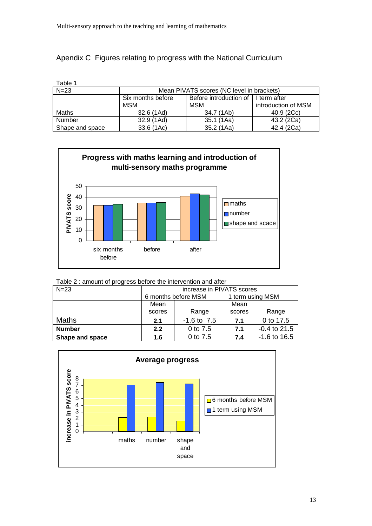# Apendix C Figures relating to progress with the National Curriculum

| Table 1         |                                           |                        |                     |  |  |  |  |  |
|-----------------|-------------------------------------------|------------------------|---------------------|--|--|--|--|--|
| $N=23$          | Mean PIVATS scores (NC level in brackets) |                        |                     |  |  |  |  |  |
|                 | Six months before                         | Before introduction of | I term after        |  |  |  |  |  |
|                 | <b>MSM</b>                                | <b>MSM</b>             | introduction of MSM |  |  |  |  |  |
| Maths           | 32.6 (1Ad)                                | 34.7 (1Ab)             | 40.9 (2Cc)          |  |  |  |  |  |
| Number          | 32.9 (1Ad)                                | 35.1 (1Aa)             | 43.2 (2Ca)          |  |  |  |  |  |
| Shape and space | 33.6 (1Ac)                                | 35.2(1Aa)              | 42.4 (2Ca)          |  |  |  |  |  |



Table 2 : amount of progress before the intervention and after

| $N=23$          | increase in PIVATS scores |                     |                  |                |  |  |
|-----------------|---------------------------|---------------------|------------------|----------------|--|--|
|                 |                           | 6 months before MSM | 1 term using MSM |                |  |  |
|                 | Mean                      |                     | Mean             |                |  |  |
|                 | scores                    | Range               | scores           | Range          |  |  |
| <b>Maths</b>    | 2.1                       | $-1.6$ to $7.5$     | 7.1              | 0 to 17.5      |  |  |
| <b>Number</b>   | 2.2                       | 0 to 7.5            | 7.1              | $-0.4$ to 21.5 |  |  |
| Shape and space | 1.6                       | 0 to 7.5            | 7.4              | $-1.6$ to 16.5 |  |  |

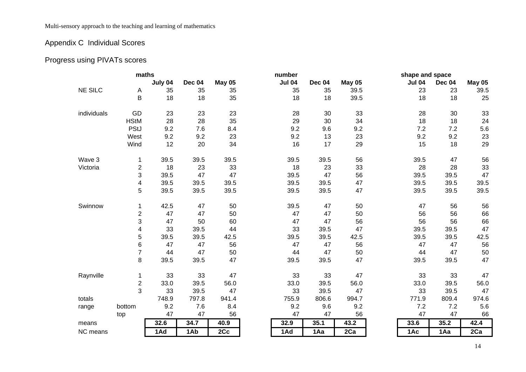Multi-sensory approach to the teaching and learning of mathematics

# Appendix C Individual Scores

# Progress using PIVATs scores

| maths<br>number |                          |         | shape and space |               |               |        |               |  |               |        |         |
|-----------------|--------------------------|---------|-----------------|---------------|---------------|--------|---------------|--|---------------|--------|---------|
|                 |                          | July 04 | Dec 04          | <b>May 05</b> | <b>Jul 04</b> | Dec 04 | <b>May 05</b> |  | <b>Jul 04</b> | Dec 04 | May 05  |
| <b>NE SILC</b>  | Α                        | 35      | 35              | 35            | 35            | 35     | 39.5          |  | 23            | 23     | 39.5    |
|                 | B                        | 18      | 18              | 35            | 18            | 18     | 39.5          |  | 18            | 18     | 25      |
| individuals     | GD                       | 23      | 23              | 23            | 28            | 30     | 33            |  | 28            | 30     | 33      |
|                 | <b>HStM</b>              | 28      | 28              | 35            | 29            | 30     | 34            |  | 18            | 18     | 24      |
|                 | <b>PStJ</b>              | 9.2     | 7.6             | 8.4           | 9.2           | 9.6    | 9.2           |  | 7.2           | 7.2    | $5.6\,$ |
|                 | West                     | 9.2     | 9.2             | 23            | 9.2           | 13     | 23            |  | 9.2           | 9.2    | 23      |
|                 | Wind                     | 12      | 20              | 34            | 16            | 17     | 29            |  | 15            | 18     | 29      |
| Wave 3          | 1                        | 39.5    | 39.5            | 39.5          | 39.5          | 39.5   | 56            |  | 39.5          | 47     | 56      |
| Victoria        | $\overline{c}$           | 18      | 23              | 33            | 18            | 23     | 33            |  | 28            | 28     | 33      |
|                 | 3                        | 39.5    | 47              | 47            | 39.5          | 47     | 56            |  | 39.5          | 39.5   | 47      |
|                 | $\overline{\mathbf{4}}$  | 39.5    | 39.5            | 39.5          | 39.5          | 39.5   | 47            |  | 39.5          | 39.5   | 39.5    |
|                 | $\overline{5}$           | 39.5    | 39.5            | 39.5          | 39.5          | 39.5   | 47            |  | 39.5          | 39.5   | 39.5    |
| Swinnow         | 1                        | 42.5    | 47              | 50            | 39.5          | 47     | 50            |  | 47            | 56     | 56      |
|                 | $\overline{2}$           | 47      | 47              | 50            | 47            | 47     | 50            |  | 56            | 56     | 66      |
|                 | 3                        | 47      | 50              | 60            | 47            | 47     | 56            |  | 56            | 56     | 66      |
|                 | $\overline{\mathcal{A}}$ | 33      | 39.5            | 44            | 33            | 39.5   | 47            |  | 39.5          | 39.5   | 47      |
|                 | 5                        | 39.5    | 39.5            | 42.5          | 39.5          | 39.5   | 42.5          |  | 39.5          | 39.5   | 42.5    |
|                 | 6                        | 47      | 47              | 56            | 47            | 47     | 56            |  | 47            | 47     | 56      |
|                 | $\overline{7}$           | 44      | 47              | 50            | 44            | 47     | 50            |  | 44            | 47     | 50      |
|                 | 8                        | 39.5    | 39.5            | 47            | 39.5          | 39.5   | 47            |  | 39.5          | 39.5   | 47      |
| Raynville       | 1                        | 33      | 33              | 47            | 33            | 33     | 47            |  | 33            | 33     | 47      |
|                 | $\overline{c}$           | 33.0    | 39.5            | 56.0          | 33.0          | 39.5   | 56.0          |  | 33.0          | 39.5   | 56.0    |
|                 | $\overline{3}$           | 33      | 39.5            | 47            | 33            | 39.5   | 47            |  | 33            | 39.5   | 47      |
| totals          |                          | 748.9   | 797.8           | 941.4         | 755.9         | 806.6  | 994.7         |  | 771.9         | 809.4  | 974.6   |
| range           | bottom                   | 9.2     | 7.6             | 8.4           | 9.2           | 9.6    | 9.2           |  | 7.2           | 7.2    | 5.6     |
|                 | top                      | 47      | 47              | 56            | 47            | 47     | 56            |  | 47            | 47     | 66      |
| means           |                          | 32.6    | 34.7            | 40.9          | 32.9          | 35.1   | 43.2          |  | 33.6          | 35.2   | 42.4    |
| NC means        |                          | 1Ad     | 1Ab             | 2Cc           | 1Ad           | 1Aa    | 2Ca           |  | 1Ac           | 1Aa    | 2Ca     |
|                 |                          |         |                 |               |               |        |               |  |               |        |         |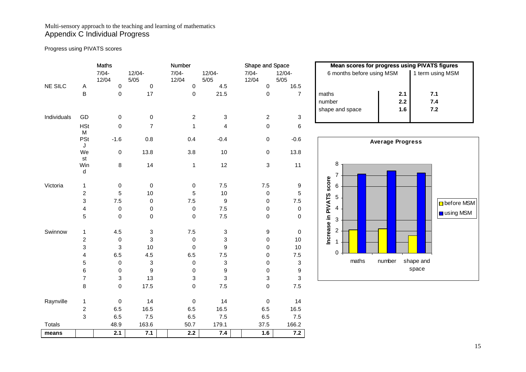#### Multi-sensory approach to the teaching and learning of mathematics Appendix C Individual Progress

Progress using PIVATS scores

|             |                           | Maths             |                           | Number            |                         | Shape and Space           |                     | <b>Mean scores for progress using PIVATS figures</b> |                         |                       |
|-------------|---------------------------|-------------------|---------------------------|-------------------|-------------------------|---------------------------|---------------------|------------------------------------------------------|-------------------------|-----------------------|
|             |                           | $7/04 -$<br>12/04 | $12/04 -$<br>$5/05$       | $7/04 -$<br>12/04 | $12/04 -$<br>$5/05$     | $7/04 -$<br>12/04         | $12/04 -$<br>$5/05$ | 6 months before using MSM                            |                         | 1 term using MSM      |
| NE SILC     | Α                         | 0                 | $\pmb{0}$                 | 0                 | 4.5                     | $\pmb{0}$                 | 16.5                |                                                      |                         |                       |
|             | B                         | 0                 | 17                        | 0                 | 21.5                    | $\pmb{0}$                 | $\overline{7}$      | maths                                                | 2.1                     | 7.1                   |
|             |                           |                   |                           |                   |                         |                           |                     | number                                               | $2.2\,$                 | $\mathbf{7.4}$        |
|             |                           |                   |                           |                   |                         |                           |                     | shape and space                                      | 1.6                     | $7.2$                 |
| Individuals | GD                        | 0                 | $\mathbf 0$               | $\overline{2}$    | 3                       | $\overline{2}$            | 3                   |                                                      |                         |                       |
|             | <b>HSt</b><br>M           | $\mathbf 0$       | $\overline{7}$            | 1                 | $\overline{\mathbf{4}}$ | 0                         | 6                   |                                                      |                         |                       |
|             | <b>PSt</b><br>J           | $-1.6$            | $0.8\,$                   | 0.4               | $-0.4$                  | $\pmb{0}$                 | $-0.6$              |                                                      | <b>Average Progress</b> |                       |
|             | We<br>st                  | 0                 | 13.8                      | 3.8               | 10                      | $\pmb{0}$                 | 13.8                |                                                      |                         |                       |
|             | Win<br>d                  | 8                 | 14                        | $\mathbf{1}$      | 12                      | $\ensuremath{\mathsf{3}}$ | 11                  | 8<br>7                                               |                         |                       |
| Victoria    | $\mathbf{1}$              | 0                 | $\pmb{0}$                 | 0                 | 7.5                     | $7.5\,$                   | 9                   | score<br>6                                           |                         |                       |
|             | $\boldsymbol{2}$          | 5                 | 10                        | 5                 | 10                      | $\pmb{0}$                 | 5                   |                                                      |                         |                       |
|             | $\ensuremath{\mathsf{3}}$ | 7.5               | $\pmb{0}$                 | $7.5$             | $\boldsymbol{9}$        | 0                         | 7.5                 | 5                                                    |                         | $\Box$ befor          |
|             | $\overline{\mathbf{4}}$   | $\pmb{0}$         | $\pmb{0}$                 | 0                 | 7.5                     | $\pmb{0}$                 | $\pmb{0}$           | 4                                                    |                         |                       |
|             | 5                         | $\pmb{0}$         | $\pmb{0}$                 | 0                 | 7.5                     | $\mathbf 0$               | 0                   | Increase in PIVATS<br>$\,$ 3 $\,$                    |                         | <mark>∣ u</mark> sing |
| Swinnow     | 1                         | 4.5               | $\boldsymbol{3}$          | $7.5\,$           | 3                       | 9                         | 0                   | $\overline{\mathbf{c}}$                              |                         |                       |
|             | $\overline{c}$            | $\pmb{0}$         | $\sqrt{3}$                | 0                 | 3                       | 0                         | 10                  |                                                      |                         |                       |
|             | 3                         | 3                 | 10                        | 0                 | 9                       | 0                         | $10$                |                                                      |                         |                       |
|             | 4                         | 6.5               | $4.5\,$                   | 6.5               | 7.5                     | 0                         | 7.5                 | 0                                                    |                         |                       |
|             | $\mathbf 5$               | $\pmb{0}$         | $\ensuremath{\mathsf{3}}$ | 0                 | 3                       | 0                         | 3                   | maths                                                | number                  | shape and             |
|             | 6                         | $\boldsymbol{0}$  | $\boldsymbol{9}$          | 0                 | $\boldsymbol{9}$        | 0                         | 9                   |                                                      |                         | space                 |
|             | $\overline{\mathcal{I}}$  | 3                 | 13                        | 3                 | 3                       | 3                         | 3                   |                                                      |                         |                       |
|             | 8                         | $\mathsf 0$       | 17.5                      | 0                 | 7.5                     | $\pmb{0}$                 | $7.5$               |                                                      |                         |                       |
| Raynville   | 1                         | $\pmb{0}$         | 14                        | 0                 | 14                      | 0                         | 14                  |                                                      |                         |                       |
|             | $\overline{c}$            | 6.5               | 16.5                      | 6.5               | 16.5                    | 6.5                       | 16.5                |                                                      |                         |                       |
|             | 3                         | 6.5               | 7.5                       | 6.5               | 7.5                     | $6.5\,$                   | $7.5$               |                                                      |                         |                       |
| Totals      |                           | 48.9              | 163.6                     | 50.7              | 179.1                   | 37.5                      | 166.2               |                                                      |                         |                       |
| means       |                           | 2.1               | 7.1                       | 2.2               | 7.4                     | 1.6                       | 7.2                 |                                                      |                         |                       |

| <b>Mean scores for progress using PIVATS figures</b> |                   |                   |  |  |  |  |  |
|------------------------------------------------------|-------------------|-------------------|--|--|--|--|--|
| 6 months before using MSM                            |                   | 1 term using MSM  |  |  |  |  |  |
| maths<br>number<br>shape and space                   | 2.1<br>2.2<br>1.6 | 7.1<br>7.4<br>7.2 |  |  |  |  |  |

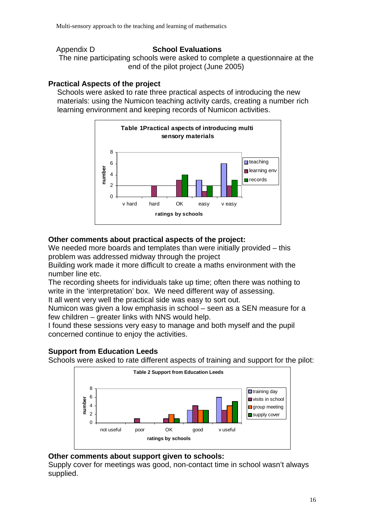#### Appendix D **School Evaluations**

The nine participating schools were asked to complete a questionnaire at the end of the pilot project (June 2005)

# **Practical Aspects of the project**

Schools were asked to rate three practical aspects of introducing the new materials: using the Numicon teaching activity cards, creating a number rich learning environment and keeping records of Numicon activities.



# **Other comments about practical aspects of the project:**

We needed more boards and templates than were initially provided – this problem was addressed midway through the project

Building work made it more difficult to create a maths environment with the number line etc.

The recording sheets for individuals take up time; often there was nothing to write in the 'interpretation' box. We need different way of assessing.

It all went very well the practical side was easy to sort out.

Numicon was given a low emphasis in school – seen as a SEN measure for a few children – greater links with NNS would help.

I found these sessions very easy to manage and both myself and the pupil concerned continue to enjoy the activities.

# **Support from Education Leeds**

Schools were asked to rate different aspects of training and support for the pilot:



# **Other comments about support given to schools:**

Supply cover for meetings was good, non-contact time in school wasn't always supplied.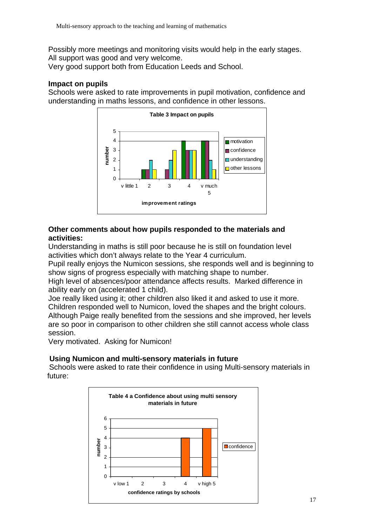Possibly more meetings and monitoring visits would help in the early stages. All support was good and very welcome.

Very good support both from Education Leeds and School.

#### **Impact on pupils**

Schools were asked to rate improvements in pupil motivation, confidence and understanding in maths lessons, and confidence in other lessons.



### **Other comments about how pupils responded to the materials and activities:**

Understanding in maths is still poor because he is still on foundation level activities which don't always relate to the Year 4 curriculum.

Pupil really enjoys the Numicon sessions, she responds well and is beginning to show signs of progress especially with matching shape to number.

High level of absences/poor attendance affects results. Marked difference in ability early on (accelerated 1 child).

Joe really liked using it; other children also liked it and asked to use it more. Children responded well to Numicon, loved the shapes and the bright colours. Although Paige really benefited from the sessions and she improved, her levels are so poor in comparison to other children she still cannot access whole class session.

Very motivated. Asking for Numicon!

# **Using Numicon and multi-sensory materials in future**

 Schools were asked to rate their confidence in using Multi-sensory materials in future:

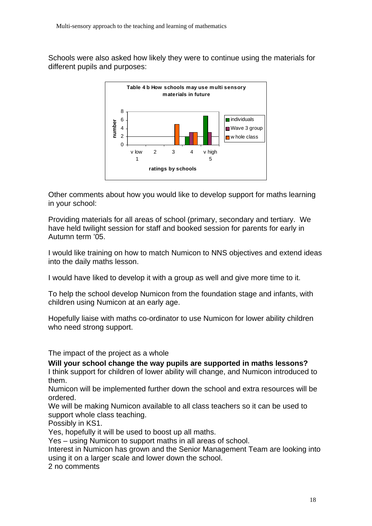Schools were also asked how likely they were to continue using the materials for different pupils and purposes:



Other comments about how you would like to develop support for maths learning in your school:

Providing materials for all areas of school (primary, secondary and tertiary. We have held twilight session for staff and booked session for parents for early in Autumn term '05.

I would like training on how to match Numicon to NNS objectives and extend ideas into the daily maths lesson.

I would have liked to develop it with a group as well and give more time to it.

To help the school develop Numicon from the foundation stage and infants, with children using Numicon at an early age.

Hopefully liaise with maths co-ordinator to use Numicon for lower ability children who need strong support.

The impact of the project as a whole

**Will your school change the way pupils are supported in maths lessons?** 

I think support for children of lower ability will change, and Numicon introduced to them.

Numicon will be implemented further down the school and extra resources will be ordered.

We will be making Numicon available to all class teachers so it can be used to support whole class teaching.

Possibly in KS1.

Yes, hopefully it will be used to boost up all maths.

Yes – using Numicon to support maths in all areas of school.

Interest in Numicon has grown and the Senior Management Team are looking into using it on a larger scale and lower down the school.

2 no comments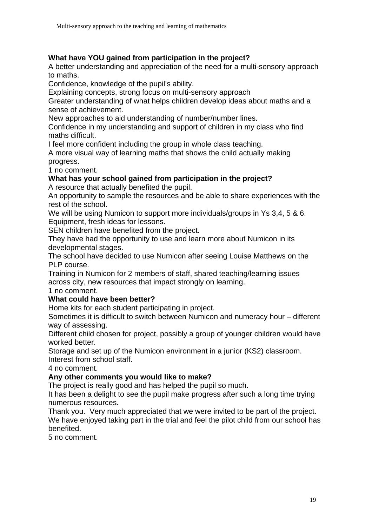## **What have YOU gained from participation in the project?**

A better understanding and appreciation of the need for a multi-sensory approach to maths.

Confidence, knowledge of the pupil's ability.

Explaining concepts, strong focus on multi-sensory approach

Greater understanding of what helps children develop ideas about maths and a sense of achievement.

New approaches to aid understanding of number/number lines.

Confidence in my understanding and support of children in my class who find maths difficult.

I feel more confident including the group in whole class teaching.

A more visual way of learning maths that shows the child actually making progress.

1 no comment.

### **What has your school gained from participation in the project?**

A resource that actually benefited the pupil.

An opportunity to sample the resources and be able to share experiences with the rest of the school.

We will be using Numicon to support more individuals/groups in Ys 3,4, 5 & 6. Equipment, fresh ideas for lessons.

SEN children have benefited from the project.

They have had the opportunity to use and learn more about Numicon in its developmental stages.

The school have decided to use Numicon after seeing Louise Matthews on the PLP course.

Training in Numicon for 2 members of staff, shared teaching/learning issues across city, new resources that impact strongly on learning.

1 no comment.

#### **What could have been better?**

Home kits for each student participating in project.

Sometimes it is difficult to switch between Numicon and numeracy hour – different way of assessing.

Different child chosen for project, possibly a group of younger children would have worked better.

Storage and set up of the Numicon environment in a junior (KS2) classroom. Interest from school staff.

4 no comment.

#### **Any other comments you would like to make?**

The project is really good and has helped the pupil so much.

It has been a delight to see the pupil make progress after such a long time trying numerous resources.

Thank you. Very much appreciated that we were invited to be part of the project. We have enjoyed taking part in the trial and feel the pilot child from our school has benefited.

5 no comment.